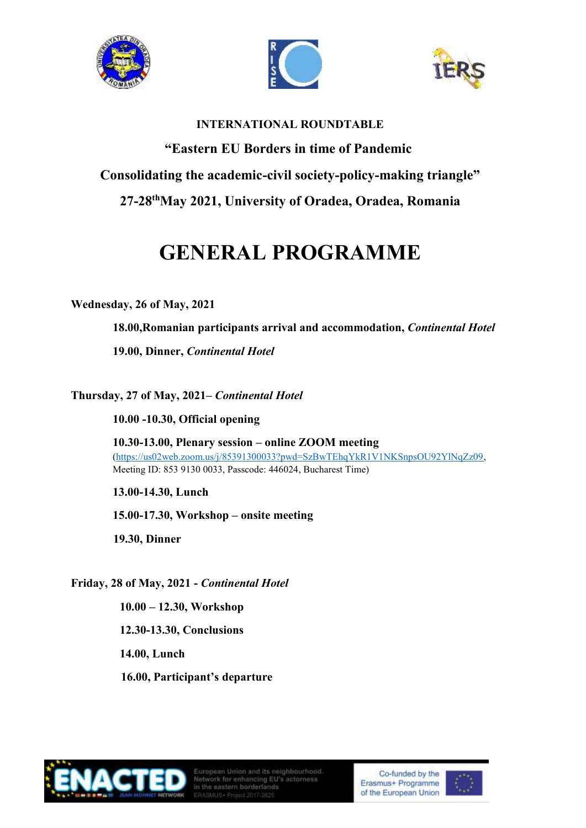





#### **INTERNATIONAL ROUNDTABLE**

**"Eastern EU Borders in time of Pandemic Consolidating the academic-civil society-policy-making triangle" 27-28 thMay 2021, University of Oradea, Oradea, Romania**

# **GENERAL PROGRAMME**

#### **Wednesday, 26 of May, 2021**

**18.00,Romanian participants arrival and accommodation,** *Continental Hotel*

**19.00, Dinner,** *Continental Hotel*

# **Thursday, 27 of May, 2021–** *Continental Hotel*

**10.00 -10.30, Official opening** 

**10.30-13.00, Plenary session – online ZOOM meeting** [\(https://us02web.zoom.us/j/85391300033?pwd=SzBwTEhqYkR1V1NKSnpsOU92YlNqZz09,](https://us02web.zoom.us/j/85391300033?pwd=SzBwTEhqYkR1V1NKSnpsOU92YlNqZz09) Meeting ID: 853 9130 0033, Passcode: 446024, Bucharest Time)

**13.00-14.30, Lunch**

**15.00-17.30, Workshop – onsite meeting**

**19.30, Dinner**

**Friday, 28 of May, 2021 -** *Continental Hotel*

**10.00 – 12.30, Workshop 12.30-13.30, Conclusions 14.00, Lunch 16.00, Participant's departure**



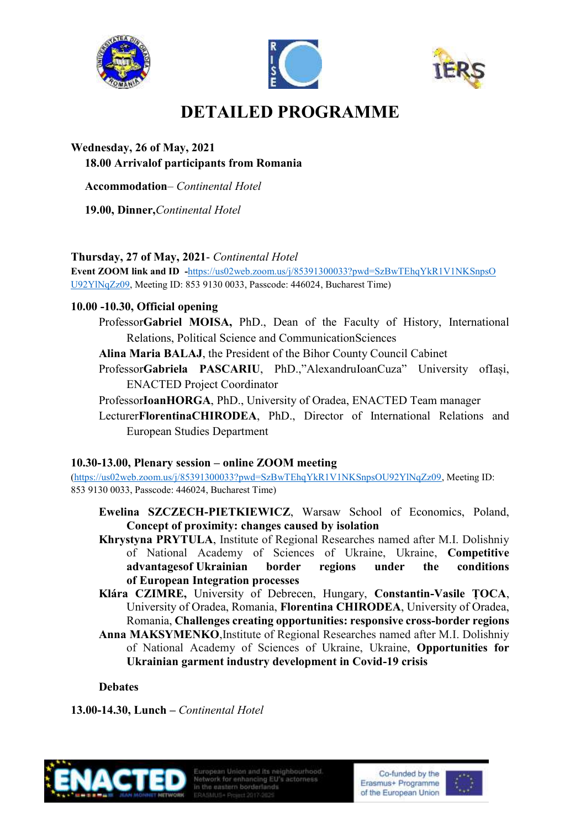





# **DETAILED PROGRAMME**

# **Wednesday, 26 of May, 2021 18.00 Arrivalof participants from Romania**

**Accommodation**– *Continental Hotel*

**19.00, Dinner,***Continental Hotel*

# **Thursday, 27 of May, 2021**- *Continental Hotel*

**Event ZOOM link and ID -**[https://us02web.zoom.us/j/85391300033?pwd=SzBwTEhqYkR1V1NKSnpsO](https://us02web.zoom.us/j/85391300033?pwd=SzBwTEhqYkR1V1NKSnpsO%20U92YlNqZz09)  [U92YlNqZz09,](https://us02web.zoom.us/j/85391300033?pwd=SzBwTEhqYkR1V1NKSnpsO%20U92YlNqZz09) Meeting ID: 853 9130 0033, Passcode: 446024, Bucharest Time)

# **10.00 -10.30, Official opening**

- Professor**Gabriel MOISA,** PhD., Dean of the Faculty of History, International Relations, Political Science and CommunicationSciences
- **Alina Maria BALAJ**, the President of the Bihor County Council Cabinet
- Professor**Gabriela PASCARIU**, PhD.,"AlexandruIoanCuza" University ofIași, ENACTED Project Coordinator
- Professor**IoanHORGA**, PhD., University of Oradea, ENACTED Team manager
- Lecturer**FlorentinaCHIRODEA**, PhD., Director of International Relations and European Studies Department

# **10.30-13.00, Plenary session – online ZOOM meeting**

[\(https://us02web.zoom.us/j/85391300033?pwd=SzBwTEhqYkR1V1NKSnpsOU92YlNqZz09,](https://us02web.zoom.us/j/85391300033?pwd=SzBwTEhqYkR1V1NKSnpsOU92YlNqZz09) Meeting ID: 853 9130 0033, Passcode: 446024, Bucharest Time)

- **Ewelina SZCZECH-PIETKIEWICZ**, Warsaw School of Economics, Poland, **Concept of proximity: changes caused by isolation**
- **Khrystyna PRYTULA**, Institute of Regional Researches named after M.I. Dolishniy of National Academy of Sciences of Ukraine, Ukraine, **Competitive advantagesof Ukrainian border regions under the conditions of European Integration processes**
- **Klára CZIMRE,** University of Debrecen, Hungary, **Constantin-Vasile ȚOCA**, University of Oradea, Romania, **Florentina CHIRODEA**, University of Oradea, Romania, **Challenges creating opportunities: responsive cross-border regions**
- **Anna MAKSYMENKO**,Institute of Regional Researches named after M.I. Dolishniy of National Academy of Sciences of Ukraine, Ukraine, **Opportunities for Ukrainian garment industry development in Covid-19 crisis**

# **Debates**

**13.00-14.30, Lunch –** *Continental Hotel*



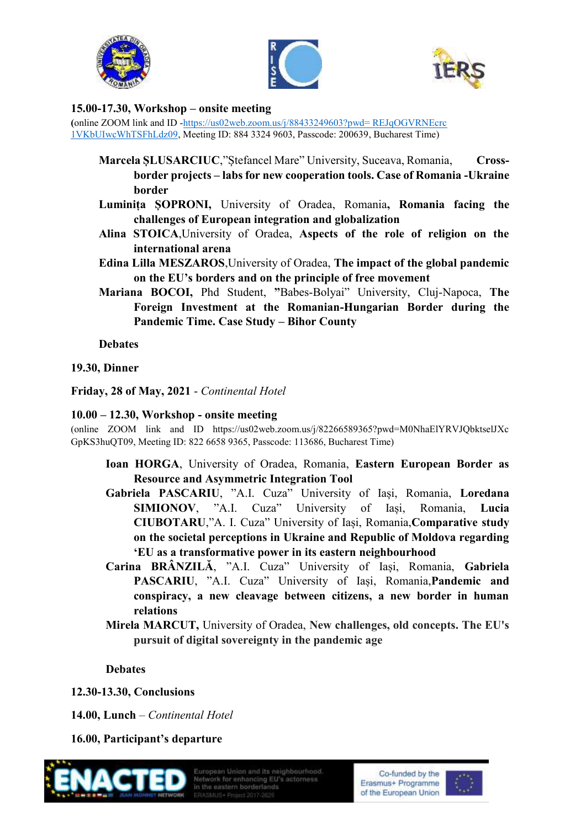





#### **15.00-17.30, Workshop – onsite meeting**

**(**online ZOOM link and ID [-https://us02web.zoom.us/j/88433249603?pwd= REJqOGVRNEcrc](https://us02web.zoom.us/j/88433249603?pwd=%20REJqOGVRNEcrc%201VKbUIwcWhTSFhLdz09)  [1VKbUIwcWhTSFhLdz09,](https://us02web.zoom.us/j/88433249603?pwd=%20REJqOGVRNEcrc%201VKbUIwcWhTSFhLdz09) Meeting ID: 884 3324 9603, Passcode: 200639, Bucharest Time)

- **Marcela ȘLUSARCIUC**,"Ștefancel Mare" University, Suceava, Romania, **Crossborder projects – labs for new cooperation tools. Case of Romania -Ukraine border**
- **Luminița ȘOPRONI,** University of Oradea, Romania**, Romania facing the challenges of European integration and globalization**
- **Alina STOICA**,University of Oradea, **Aspects of the role of religion on the international arena**
- **Edina Lilla MESZAROS**,University of Oradea, **The impact of the global pandemic on the EU's borders and on the principle of free movement**
- **Mariana BOCOI,** Phd Student, **"**Babes-Bolyai" University, Cluj-Napoca, **The Foreign Investment at the Romanian-Hungarian Border during the Pandemic Time. Case Study – Bihor County**

**Debates**

#### **19.30, Dinner**

**Friday, 28 of May, 2021** - *Continental Hotel*

#### **10.00 – 12.30, Workshop - onsite meeting**

(online ZOOM link and ID https://us02web.zoom.us/j/82266589365?pwd=M0NhaElYRVJQbktselJXc GpKS3huQT09, Meeting ID: 822 6658 9365, Passcode: 113686, Bucharest Time)

- **Ioan HORGA**, University of Oradea, Romania, **Eastern European Border as Resource and Asymmetric Integration Tool**
- **Gabriela PASCARIU**, "A.I. Cuza" University of Iași, Romania, **Loredana SIMIONOV**, "A.I. Cuza" University of Iași, Romania, **Lucia CIUBOTARU**,"A. I. Cuza" University of Iași, Romania,**Comparative study on the societal perceptions in Ukraine and Republic of Moldova regarding 'EU as a transformative power in its eastern neighbourhood**
- **Carina BRÂNZILĂ**, "A.I. Cuza" University of Iași, Romania, **Gabriela PASCARIU**, "A.I. Cuza" University of Iași, Romania,**Pandemic and conspiracy, a new cleavage between citizens, a new border in human relations**
- **Mirela MARCUT,** University of Oradea, **New challenges, old concepts. The EU's pursuit of digital sovereignty in the pandemic age**

# **Debates**

**12.30-13.30, Conclusions**

**14.00, Lunch** *– Continental Hotel*

**16.00, Participant's departure**



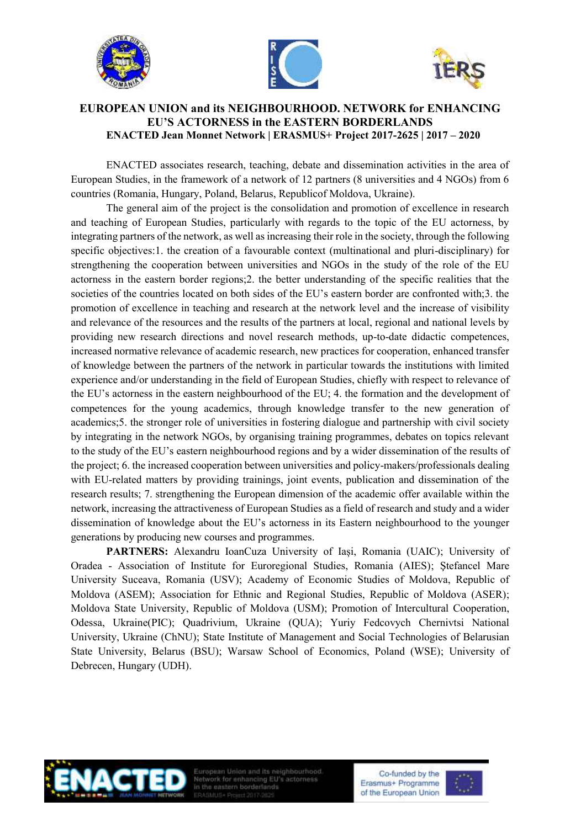





#### **EUROPEAN UNION and its NEIGHBOURHOOD. NETWORK for ENHANCING EU'S ACTORNESS in the EASTERN BORDERLANDS ENACTED Jean Monnet Network | ERASMUS+ Project 2017-2625 | 2017 – 2020**

ENACTED associates research, teaching, debate and dissemination activities in the area of European Studies, in the framework of a network of 12 partners (8 universities and 4 NGOs) from 6 countries (Romania, Hungary, Poland, Belarus, Republicof Moldova, Ukraine).

The general aim of the project is the consolidation and promotion of excellence in research and teaching of European Studies, particularly with regards to the topic of the EU actorness, by integrating partners of the network, as well as increasing their role in the society, through the following specific objectives:1. the creation of a favourable context (multinational and pluri-disciplinary) for strengthening the cooperation between universities and NGOs in the study of the role of the EU actorness in the eastern border regions;2. the better understanding of the specific realities that the societies of the countries located on both sides of the EU's eastern border are confronted with;3. the promotion of excellence in teaching and research at the network level and the increase of visibility and relevance of the resources and the results of the partners at local, regional and national levels by providing new research directions and novel research methods, up-to-date didactic competences, increased normative relevance of academic research, new practices for cooperation, enhanced transfer of knowledge between the partners of the network in particular towards the institutions with limited experience and/or understanding in the field of European Studies, chiefly with respect to relevance of the EU's actorness in the eastern neighbourhood of the EU; 4. the formation and the development of competences for the young academics, through knowledge transfer to the new generation of academics;5. the stronger role of universities in fostering dialogue and partnership with civil society by integrating in the network NGOs, by organising training programmes, debates on topics relevant to the study of the EU's eastern neighbourhood regions and by a wider dissemination of the results of the project; 6. the increased cooperation between universities and policy-makers/professionals dealing with EU-related matters by providing trainings, joint events, publication and dissemination of the research results; 7. strengthening the European dimension of the academic offer available within the network, increasing the attractiveness of European Studies as a field of research and study and a wider dissemination of knowledge about the EU's actorness in its Eastern neighbourhood to the younger generations by producing new courses and programmes.

**[PARTNERS:](https://enacted.uaic.ro/partners.htm)** Alexandru [IoanCuza University of Iași, Romania \(UAIC\)](http://enacted.uaic.ro/uaic.htm); [University of](http://enacted.uaic.ro/iser.htm)  Oradea - [Association of Institute for Euroregional Studies, Romania \(AIES\);](http://enacted.uaic.ro/iser.htm) [Ştefancel Mare](http://enacted.uaic.ro/usm.htm)  [University Suceava, Romania \(USV\);](http://enacted.uaic.ro/usm.htm) [Academy of Economic Studies of Moldova, Republic of](http://enacted.uaic.ro/asem.htm)  [Moldova \(ASEM\);](http://enacted.uaic.ro/asem.htm) [Association for Ethnic and Regional Studies, Republic of Moldova \(ASER\);](http://enacted.uaic.ro/aser.htm) [Moldova State University, Republic of Moldova \(USM\);](http://enacted.uaic.ro/usm.htm) [Promotion of Intercultural Cooperation,](http://enacted.uaic.ro/pic.htm)  [Odessa, Ukraine\(PIC\);](http://enacted.uaic.ro/pic.htm) [Quadrivium, Ukraine \(QUA\);](http://enacted.uaic.ro/qua.htm) Yuriy [Fedcovych Chernivtsi National](http://enacted.uaic.ro/chnu.htm)  [University, Ukraine \(ChNU\);](http://enacted.uaic.ro/chnu.htm) [State Institute of Management and Social Technologies of Belarusian](http://enacted.uaic.ro/bsu.htm)  [State University, Belarus \(BSU\);](http://enacted.uaic.ro/bsu.htm) [Warsaw School of Economics, Poland \(WSE\);](http://enacted.uaic.ro/bsu.htm) [University of](http://enacted.uaic.ro/udh.htm)  [Debrecen, Hungary \(UDH\).](http://enacted.uaic.ro/udh.htm)